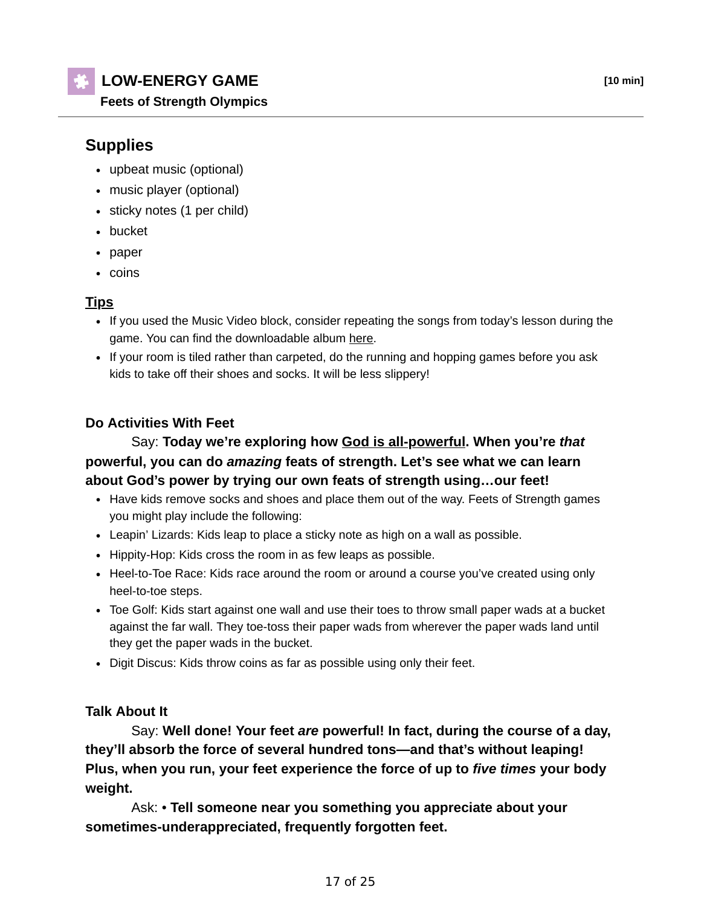## **LOW-ENERGY GAME [10 min]**

**Feets of Strength Olympics**

# **Supplies**

- upbeat music (optional)
- music player (optional)
- sticky notes (1 per child)
- bucket
- paper
- coins

#### **Tips**

- If you used the Music Video block, consider repeating the songs from today's lesson during the game. You can find the downloadable album here.
- If your room is tiled rather than carpeted, do the running and hopping games before you ask kids to take off their shoes and socks. It will be less slippery!

## **Do Activities With Feet**

## Say: **Today we're exploring how God is all-powerful. When you're** *that* **powerful, you can do** *amazing* **feats of strength. Let's see what we can learn about God's power by trying our own feats of strength using…our feet!**

- Have kids remove socks and shoes and place them out of the way. Feets of Strength games you might play include the following:
- Leapin' Lizards: Kids leap to place a sticky note as high on a wall as possible.
- Hippity-Hop: Kids cross the room in as few leaps as possible.
- Heel-to-Toe Race: Kids race around the room or around a course you've created using only heel-to-toe steps.
- Toe Golf: Kids start against one wall and use their toes to throw small paper wads at a bucket against the far wall. They toe-toss their paper wads from wherever the paper wads land until they get the paper wads in the bucket.
- Digit Discus: Kids throw coins as far as possible using only their feet.

#### **Talk About It**

 Say: **Well done! Your feet** *are* **powerful! In fact, during the course of a day, they'll absorb the force of several hundred tons—and that's without leaping! Plus, when you run, your feet experience the force of up to** *five times* **your body weight.**

 Ask: • **Tell someone near you something you appreciate about your sometimes-underappreciated, frequently forgotten feet.**